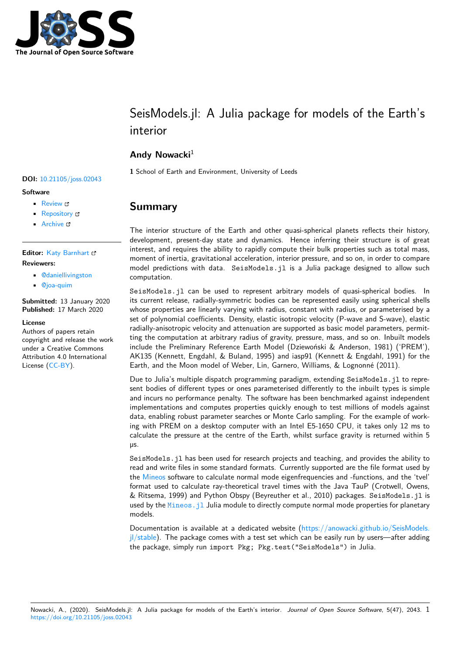

# SeisModels.jl: A Julia package for models of the Earth's interior

### **Andy Nowacki**<sup>1</sup>

**1** School of Earth and Environment, University of Leeds

### **Summary**

The interior structure of the Earth and other quasi-spherical planets reflects their history, development, present-day state and dynamics. Hence inferring their structure is of great interest, and requires the ability to rapidly compute their bulk properties such as total mass, moment of inertia, gravitational acceleration, interior pressure, and so on, in order to compare model predictions with data. SeisModels.jl is a Julia package designed to allow such computation.

SeisModels.jl can be used to represent arbitrary models of quasi-spherical bodies. In its current release, radially-symmetric bodies can be represented easily using spherical shells whose properties are linearly varying with radius, constant with radius, or parameterised by a set of polynomial coefficients. Density, elastic isotropic velocity (P-wave and S-wave), elastic radially-anisotropic velocity and attenuation are supported as basic model parameters, permitting the computation at arbitrary radius of gravity, pressure, mass, and so on. Inbuilt models include the Preliminary Reference Earth Model (Dziewoński & Anderson, 1981) ('PREM'), AK135 (Kennett, Engdahl, & Buland, 1995) and iasp91 (Kennett & Engdahl, 1991) for the Earth, and the Moon model of Weber, Lin, Garnero, Williams, & Lognonné (2011).

Due to Julia's multiple dispatch programming paradigm, extending SeisModels.jl to represent bodies of different types or ones parameterised differently to the inbuilt types is simple and incurs no performance penalty. The software has been benchmarked against independent implementations and computes properties quickly enough to test millions of models against data, enabling robust parameter searches or Monte Carlo sampling. For the example of working with PREM on a desktop computer with an Intel E5-1650 CPU, it takes only 12 ms to calculate the pressure at the centre of the Earth, whilst surface gravity is returned within 5 µs.

SeisModels.jl has been used for research projects and teaching, and provides the ability to read and write files in some standard formats. Currently supported are the file format used by the Mineos software to calculate normal mode eigenfrequencies and -functions, and the 'tvel' format used to calculate ray-theoretical travel times with the Java TauP (Crotwell, Owens, & Ritsema, 1999) and Python Obspy (Beyreuther et al., 2010) packages. SeisModels.jl is used by the Mineos. jl Julia module to directly compute normal mode properties for planetary mo[dels.](https://geodynamics.org/cig/software/mineos/)

Documentation is available at a dedicated website (https://anowacki.github.io/SeisModels.  $j$ /stable). The package comes with a test set which can be easily run by users—after adding the packag[e, simply run](https://github.com/anowacki/Mineos.jl) import Pkg; Pkg.test("SeisModels") in Julia.

#### **DOI:** 10.21105/joss.02043

#### **Software**

- Review &
- [Repository](https://doi.org/10.21105/joss.02043) C
- Archive

#### **Editor: [Katy Bar](https://github.com/anowacki/SeisModels.jl)nhart & Revie[wers:](https://doi.org/10.6084/m9.figshare.11993313)**

- @daniellivingston
- @[joa-quim](https://github.com/kbarnhart)

**Submitted:** 13 January 2020 **Published:** [17 March 2](https://github.com/daniellivingston)020

#### **License**

Autho[rs of paper](https://github.com/joa-quim)s retain copyright and release the work under a Creative Commons Attribution 4.0 International License (CC-BY).

Nowacki, A., (2020). SeisModels.jl: A Julia package for models of the Earth's interior. *Journal of Open Source Software*, 5(47), 2043. 1https://doi.org/10.21105/joss.02043